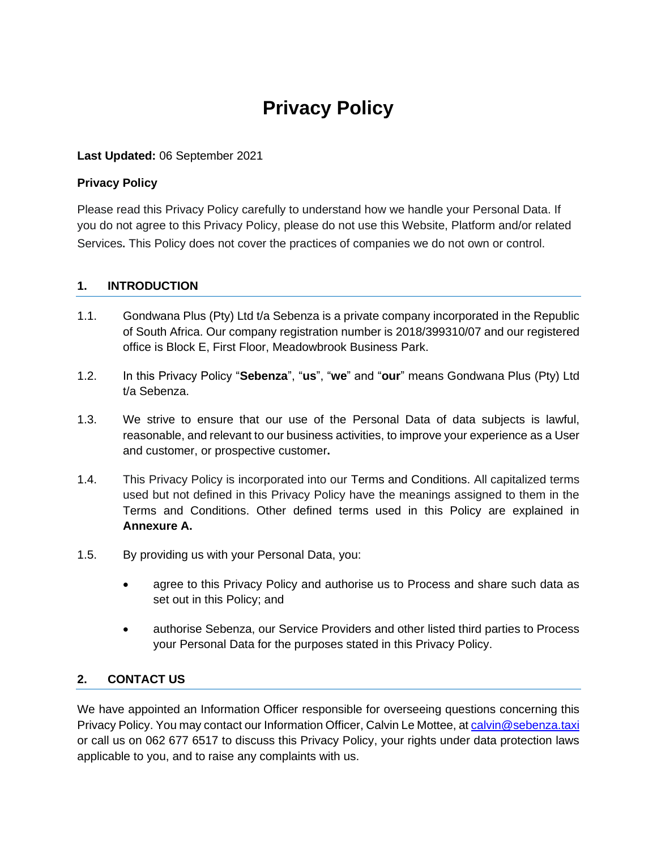# **Privacy Policy**

#### **Last Updated:** 06 September 2021

#### **Privacy Policy**

Please read this Privacy Policy carefully to understand how we handle your Personal Data. If you do not agree to this Privacy Policy, please do not use this Website, Platform and/or related Services. This Policy does not cover the practices of companies we do not own or control.

#### **1. INTRODUCTION**

- 1.1. Gondwana Plus (Pty) Ltd t/a Sebenza is a private company incorporated in the Republic of South Africa. Our company registration number is 2018/399310/07 and our registered office is Block E, First Floor, Meadowbrook Business Park.
- 1.2. In this Privacy Policy "**Sebenza**", "**us**", "**we**" and "**our**" means Gondwana Plus (Pty) Ltd t/a Sebenza.
- 1.3. We strive to ensure that our use of the Personal Data of data subjects is lawful, reasonable, and relevant to our business activities, to improve your experience as a User and customer, or prospective customer**.**
- 1.4. This Privacy Policy is incorporated into our Terms and Conditions. All capitalized terms used but not defined in this Privacy Policy have the meanings assigned to them in the Terms and Conditions. Other defined terms used in this Policy are explained in **Annexure A.**
- 1.5. By providing us with your Personal Data, you:
	- agree to this Privacy Policy and authorise us to Process and share such data as set out in this Policy; and
	- authorise Sebenza, our Service Providers and other listed third parties to Process your Personal Data for the purposes stated in this Privacy Policy.

#### **2. CONTACT US**

We have appointed an Information Officer responsible for overseeing questions concerning this Privacy Policy. You may contact our Information Officer, Calvin Le Mottee, at [calvin@sebenza.taxi](mailto:calvin@sebenza.taxi) or call us on 062 677 6517 to discuss this Privacy Policy, your rights under data protection laws applicable to you, and to raise any complaints with us.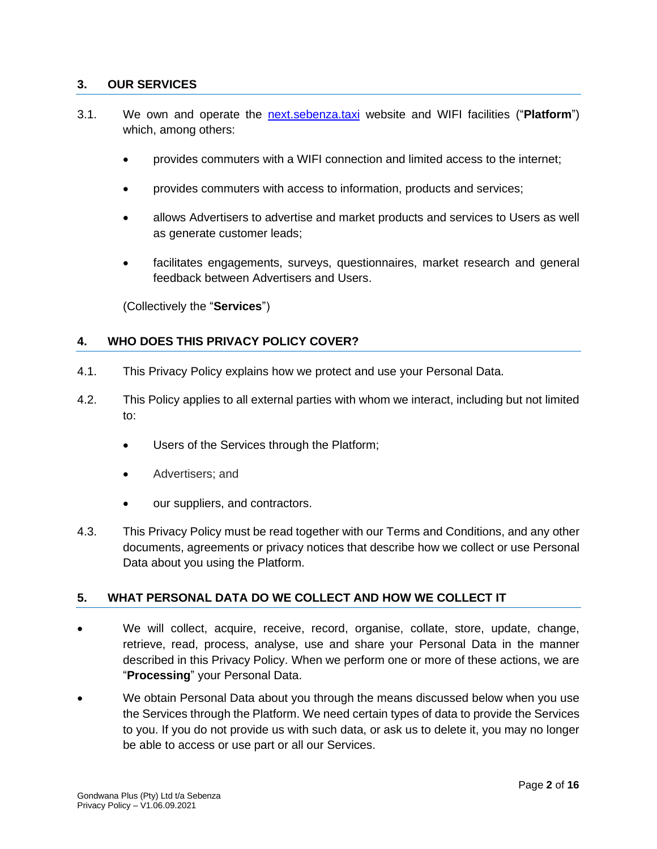### <span id="page-1-0"></span>**3. OUR SERVICES**

- 3.1. We own and operate the [next.sebenza.taxi](http://next.sebenza.taxi/) website and WIFI facilities ("**Platform**") which, among others:
	- provides commuters with a WIFI connection and limited access to the internet;
	- provides commuters with access to information, products and services;
	- allows Advertisers to advertise and market products and services to Users as well as generate customer leads;
	- facilitates engagements, surveys, questionnaires, market research and general feedback between Advertisers and Users.

(Collectively the "**Services**")

# **4. WHO DOES THIS PRIVACY POLICY COVER?**

- 4.1. This Privacy Policy explains how we protect and use your Personal Data.
- 4.2. This Policy applies to all external parties with whom we interact, including but not limited to:
	- Users of the Services through the Platform;
	- Advertisers; and
	- our suppliers, and contractors.
- 4.3. This Privacy Policy must be read together with our Terms and Conditions, and any other documents, agreements or privacy notices that describe how we collect or use Personal Data about you using the Platform.

#### **5. WHAT PERSONAL DATA DO WE COLLECT AND HOW WE COLLECT IT**

- We will collect, acquire, receive, record, organise, collate, store, update, change, retrieve, read, process, analyse, use and share your Personal Data in the manner described in this Privacy Policy. When we perform one or more of these actions, we are "**Processing**" your Personal Data.
- We obtain Personal Data about you through the means discussed below when you use the Services through the Platform. We need certain types of data to provide the Services to you. If you do not provide us with such data, or ask us to delete it, you may no longer be able to access or use part or all our Services.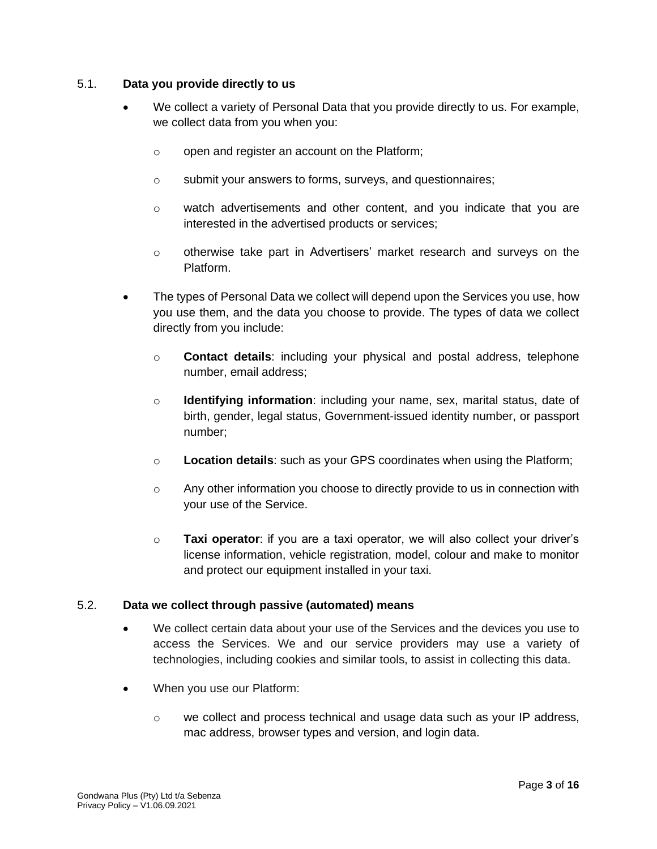#### 5.1. **Data you provide directly to us**

- We collect a variety of Personal Data that you provide directly to us. For example, we collect data from you when you:
	- o open and register an account on the Platform;
	- o submit your answers to forms, surveys, and questionnaires;
	- $\circ$  watch advertisements and other content, and you indicate that you are interested in the advertised products or services;
	- o otherwise take part in Advertisers' market research and surveys on the Platform.
- The types of Personal Data we collect will depend upon the Services you use, how you use them, and the data you choose to provide. The types of data we collect directly from you include:
	- o **Contact details**: including your physical and postal address, telephone number, email address;
	- o **Identifying information**: including your name, sex, marital status, date of birth, gender, legal status, Government-issued identity number, or passport number;
	- o **Location details**: such as your GPS coordinates when using the Platform;
	- o Any other information you choose to directly provide to us in connection with your use of the Service.
	- o **Taxi operator**: if you are a taxi operator, we will also collect your driver's license information, vehicle registration, model, colour and make to monitor and protect our equipment installed in your taxi.

#### 5.2. **Data we collect through passive (automated) means**

- We collect certain data about your use of the Services and the devices you use to access the Services. We and our service providers may use a variety of technologies, including cookies and similar tools, to assist in collecting this data.
- When you use our Platform:
	- $\circ$  we collect and process technical and usage data such as your IP address, mac address, browser types and version, and login data.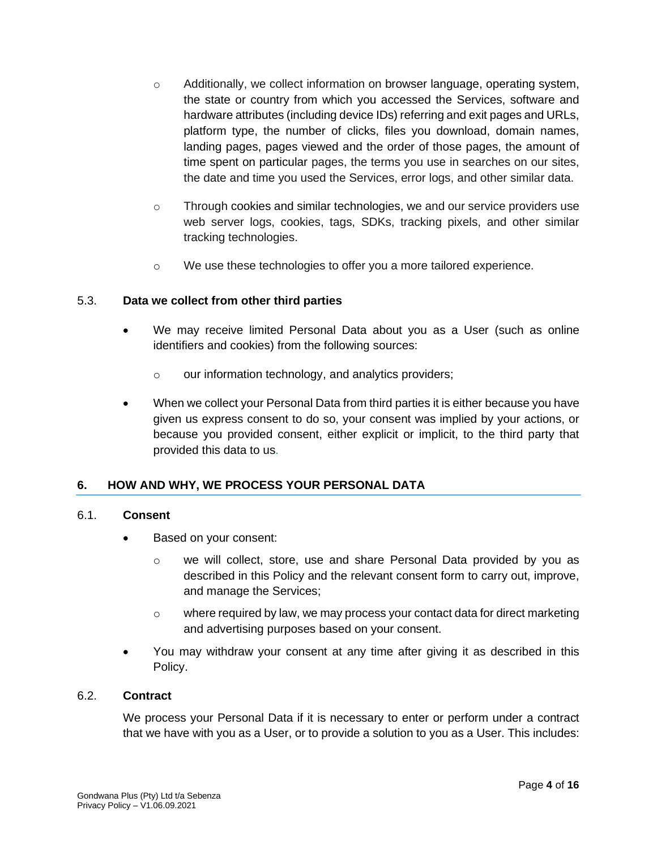- o Additionally, we collect information on browser language, operating system, the state or country from which you accessed the Services, software and hardware attributes (including device IDs) referring and exit pages and URLs, platform type, the number of clicks, files you download, domain names, landing pages, pages viewed and the order of those pages, the amount of time spent on particular pages, the terms you use in searches on our sites, the date and time you used the Services, error logs, and other similar data.
- o Through cookies and similar technologies, we and our service providers use web server logs, cookies, tags, SDKs, tracking pixels, and other similar tracking technologies.
- o We use these technologies to offer you a more tailored experience.

#### 5.3. **Data we collect from other third parties**

- We may receive limited Personal Data about you as a User (such as online identifiers and cookies) from the following sources:
	- o our information technology, and analytics providers;
- When we collect your Personal Data from third parties it is either because you have given us express consent to do so, your consent was implied by your actions, or because you provided consent, either explicit or implicit, to the third party that provided this data to us.

#### **6. HOW AND WHY, WE PROCESS YOUR PERSONAL DATA**

#### 6.1. **Consent**

- Based on your consent:
	- $\circ$  we will collect, store, use and share Personal Data provided by you as described in this Policy and the relevant consent form to carry out, improve, and manage the Services;
	- $\circ$  where required by law, we may process your contact data for direct marketing and advertising purposes based on your consent.
- You may withdraw your consent at any time after giving it as described in this Policy.

#### 6.2. **Contract**

We process your Personal Data if it is necessary to enter or perform under a contract that we have with you as a User, or to provide a solution to you as a User. This includes: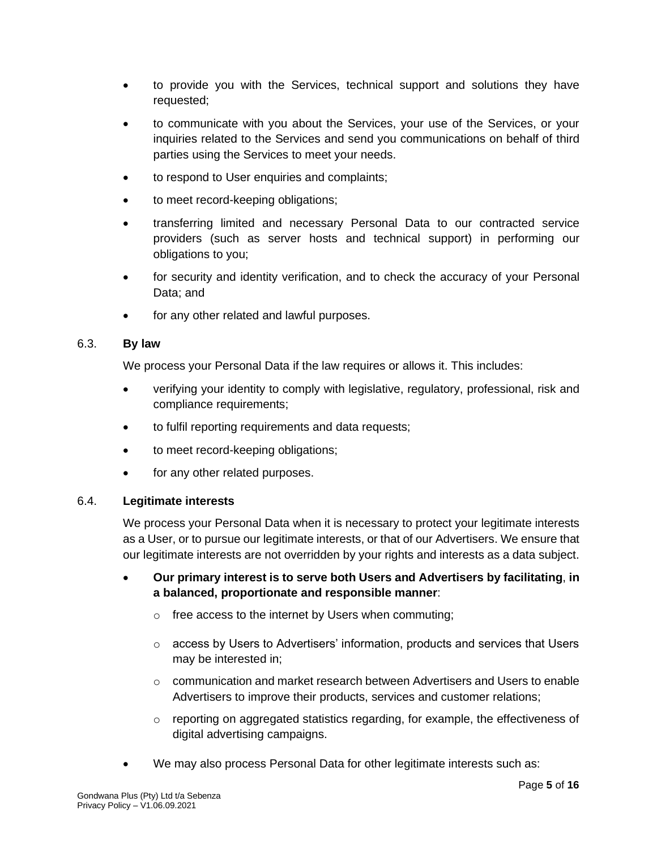- to provide you with the Services, technical support and solutions they have requested;
- to communicate with you about the Services, your use of the Services, or your inquiries related to the Services and send you communications on behalf of third parties using the Services to meet your needs.
- to respond to User enquiries and complaints;
- to meet record-keeping obligations;
- transferring limited and necessary Personal Data to our contracted service providers (such as server hosts and technical support) in performing our obligations to you;
- for security and identity verification, and to check the accuracy of your Personal Data; and
- for any other related and lawful purposes.

#### 6.3. **By law**

We process your Personal Data if the law requires or allows it. This includes:

- verifying your identity to comply with legislative, regulatory, professional, risk and compliance requirements;
- to fulfil reporting requirements and data requests;
- to meet record-keeping obligations;
- for any other related purposes.

#### 6.4. **Legitimate interests**

We process your Personal Data when it is necessary to protect your legitimate interests as a User, or to pursue our legitimate interests, or that of our Advertisers. We ensure that our legitimate interests are not overridden by your rights and interests as a data subject.

- **Our primary interest is to serve both Users and Advertisers by facilitating**, **in a balanced, proportionate and responsible manner**:
	- o free access to the internet by Users when commuting;
	- $\circ$  access by Users to Advertisers' information, products and services that Users may be interested in;
	- o communication and market research between Advertisers and Users to enable Advertisers to improve their products, services and customer relations;
	- o reporting on aggregated statistics regarding, for example, the effectiveness of digital advertising campaigns.
- We may also process Personal Data for other legitimate interests such as: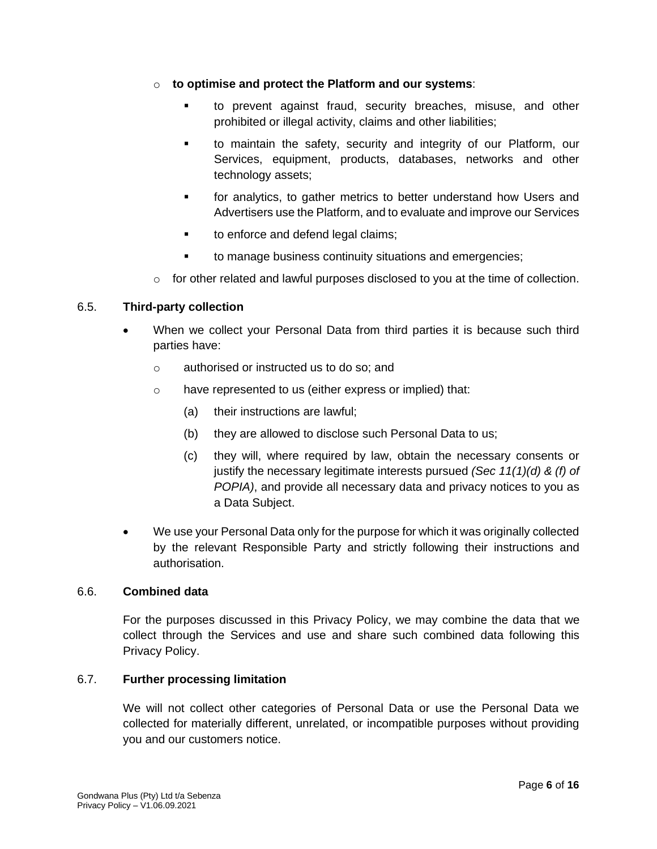- o **to optimise and protect the Platform and our systems**:
	- to prevent against fraud, security breaches, misuse, and other prohibited or illegal activity, claims and other liabilities;
	- to maintain the safety, security and integrity of our Platform, our Services, equipment, products, databases, networks and other technology assets;
	- **•** for analytics, to gather metrics to better understand how Users and Advertisers use the Platform, and to evaluate and improve our Services
	- to enforce and defend legal claims;
	- to manage business continuity situations and emergencies;
- $\circ$  for other related and lawful purposes disclosed to you at the time of collection.

#### 6.5. **Third-party collection**

- When we collect your Personal Data from third parties it is because such third parties have:
	- o authorised or instructed us to do so; and
	- o have represented to us (either express or implied) that:
		- (a) their instructions are lawful;
		- (b) they are allowed to disclose such Personal Data to us;
		- (c) they will, where required by law, obtain the necessary consents or justify the necessary legitimate interests pursued *(Sec 11(1)(d) & (f) of POPIA)*, and provide all necessary data and privacy notices to you as a Data Subject.
- We use your Personal Data only for the purpose for which it was originally collected by the relevant Responsible Party and strictly following their instructions and authorisation.

#### 6.6. **Combined data**

For the purposes discussed in this Privacy Policy, we may combine the data that we collect through the Services and use and share such combined data following this Privacy Policy.

# 6.7. **Further processing limitation**

We will not collect other categories of Personal Data or use the Personal Data we collected for materially different, unrelated, or incompatible purposes without providing you and our customers notice.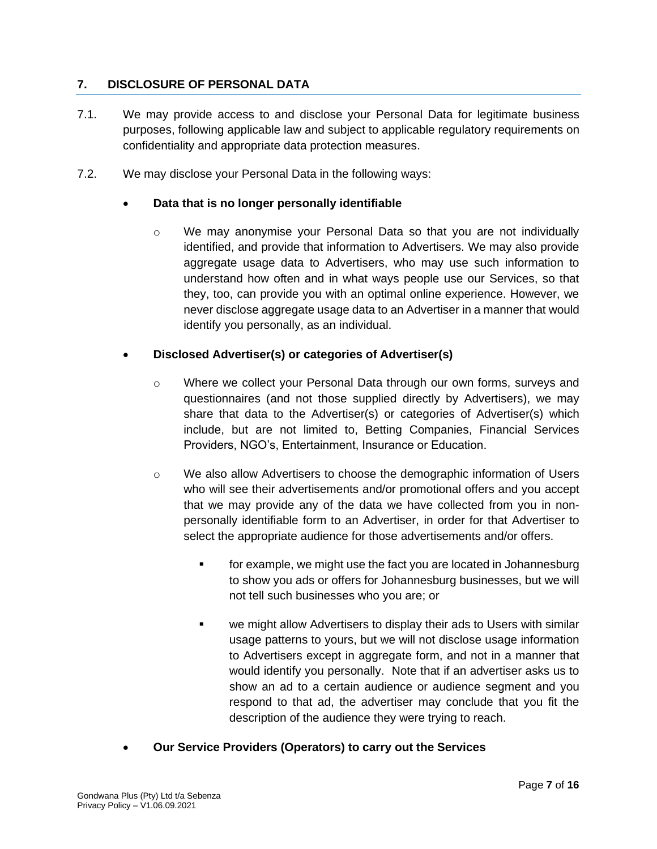# **7. DISCLOSURE OF PERSONAL DATA**

- 7.1. We may provide access to and disclose your Personal Data for legitimate business purposes, following applicable law and subject to applicable regulatory requirements on confidentiality and appropriate data protection measures.
- 7.2. We may disclose your Personal Data in the following ways:

## • **Data that is no longer personally identifiable**

 $\circ$  We may anonymise your Personal Data so that you are not individually identified, and provide that information to Advertisers. We may also provide aggregate usage data to Advertisers, who may use such information to understand how often and in what ways people use our Services, so that they, too, can provide you with an optimal online experience. However, we never disclose aggregate usage data to an Advertiser in a manner that would identify you personally, as an individual.

# • **Disclosed Advertiser(s) or categories of Advertiser(s)**

- o Where we collect your Personal Data through our own forms, surveys and questionnaires (and not those supplied directly by Advertisers), we may share that data to the Advertiser(s) or categories of Advertiser(s) which include, but are not limited to, Betting Companies, Financial Services Providers, NGO's, Entertainment, Insurance or Education.
- o We also allow Advertisers to choose the demographic information of Users who will see their advertisements and/or promotional offers and you accept that we may provide any of the data we have collected from you in nonpersonally identifiable form to an Advertiser, in order for that Advertiser to select the appropriate audience for those advertisements and/or offers.
	- for example, we might use the fact you are located in Johannesburg to show you ads or offers for Johannesburg businesses, but we will not tell such businesses who you are; or
	- we might allow Advertisers to display their ads to Users with similar usage patterns to yours, but we will not disclose usage information to Advertisers except in aggregate form, and not in a manner that would identify you personally. Note that if an advertiser asks us to show an ad to a certain audience or audience segment and you respond to that ad, the advertiser may conclude that you fit the description of the audience they were trying to reach.
- **Our Service Providers (Operators) to carry out the Services**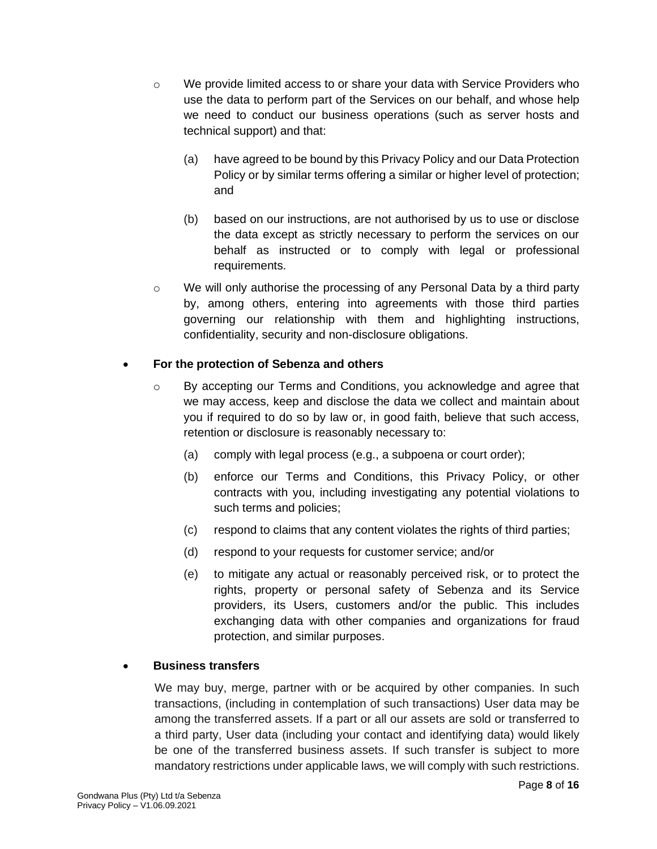- $\circ$  We provide limited access to or share your data with Service Providers who use the data to perform part of the Services on our behalf, and whose help we need to conduct our business operations (such as server hosts and technical support) and that:
	- (a) have agreed to be bound by this Privacy Policy and our Data Protection Policy or by similar terms offering a similar or higher level of protection; and
	- (b) based on our instructions, are not authorised by us to use or disclose the data except as strictly necessary to perform the services on our behalf as instructed or to comply with legal or professional requirements.
- $\circ$  We will only authorise the processing of any Personal Data by a third party by, among others, entering into agreements with those third parties governing our relationship with them and highlighting instructions, confidentiality, security and non-disclosure obligations.

# • **For the protection of Sebenza and others**

- o By accepting our Terms and Conditions, you acknowledge and agree that we may access, keep and disclose the data we collect and maintain about you if required to do so by law or, in good faith, believe that such access, retention or disclosure is reasonably necessary to:
	- (a) comply with legal process (e.g., a subpoena or court order);
	- (b) enforce our Terms and Conditions, this Privacy Policy, or other contracts with you, including investigating any potential violations to such terms and policies;
	- (c) respond to claims that any content violates the rights of third parties;
	- (d) respond to your requests for customer service; and/or
	- (e) to mitigate any actual or reasonably perceived risk, or to protect the rights, property or personal safety of Sebenza and its Service providers, its Users, customers and/or the public. This includes exchanging data with other companies and organizations for fraud protection, and similar purposes.

# • **Business transfers**

We may buy, merge, partner with or be acquired by other companies. In such transactions, (including in contemplation of such transactions) User data may be among the transferred assets. If a part or all our assets are sold or transferred to a third party, User data (including your contact and identifying data) would likely be one of the transferred business assets. If such transfer is subject to more mandatory restrictions under applicable laws, we will comply with such restrictions.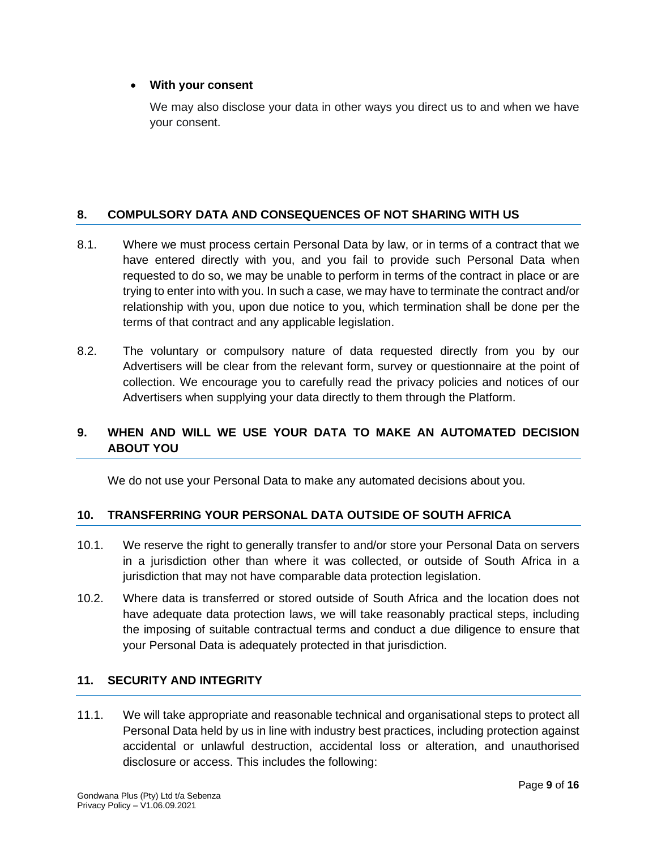#### • **With your consent**

We may also disclose your data in other ways you direct us to and when we have your consent.

# **8. COMPULSORY DATA AND CONSEQUENCES OF NOT SHARING WITH US**

- 8.1. Where we must process certain Personal Data by law, or in terms of a contract that we have entered directly with you, and you fail to provide such Personal Data when requested to do so, we may be unable to perform in terms of the contract in place or are trying to enter into with you. In such a case, we may have to terminate the contract and/or relationship with you, upon due notice to you, which termination shall be done per the terms of that contract and any applicable legislation.
- 8.2. The voluntary or compulsory nature of data requested directly from you by our Advertisers will be clear from the relevant form, survey or questionnaire at the point of collection. We encourage you to carefully read the privacy policies and notices of our Advertisers when supplying your data directly to them through the Platform.

# **9. WHEN AND WILL WE USE YOUR DATA TO MAKE AN AUTOMATED DECISION ABOUT YOU**

We do not use your Personal Data to make any automated decisions about you.

#### **10. TRANSFERRING YOUR PERSONAL DATA OUTSIDE OF SOUTH AFRICA**

- 10.1. We reserve the right to generally transfer to and/or store your Personal Data on servers in a jurisdiction other than where it was collected, or outside of South Africa in a jurisdiction that may not have comparable data protection legislation.
- 10.2. Where data is transferred or stored outside of South Africa and the location does not have adequate data protection laws, we will take reasonably practical steps, including the imposing of suitable contractual terms and conduct a due diligence to ensure that your Personal Data is adequately protected in that jurisdiction.

#### **11. SECURITY AND INTEGRITY**

11.1. We will take appropriate and reasonable technical and organisational steps to protect all Personal Data held by us in line with industry best practices, including protection against accidental or unlawful destruction, accidental loss or alteration, and unauthorised disclosure or access. This includes the following: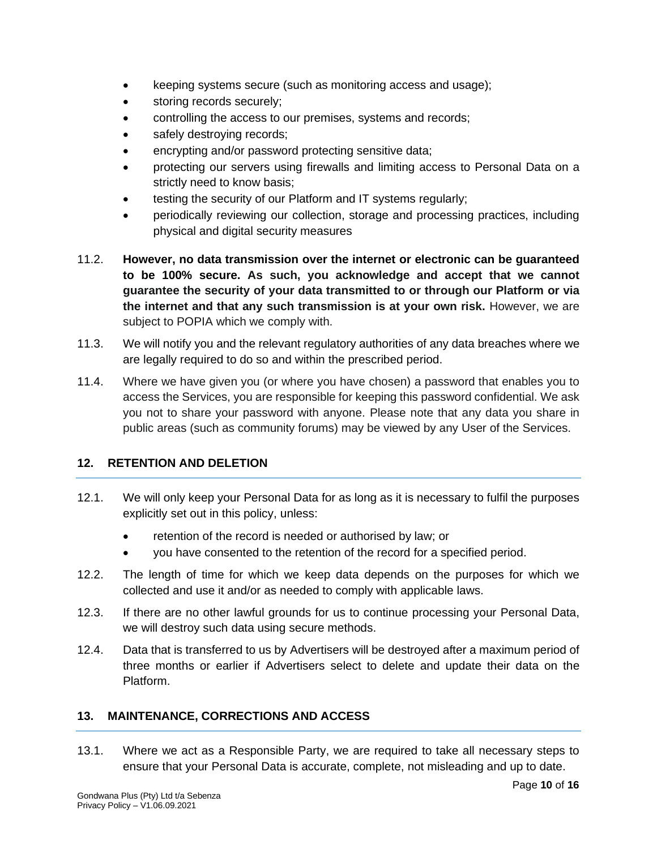- keeping systems secure (such as monitoring access and usage);
- storing records securely;
- controlling the access to our premises, systems and records;
- safely destroying records;
- encrypting and/or password protecting sensitive data;
- protecting our servers using firewalls and limiting access to Personal Data on a strictly need to know basis;
- testing the security of our Platform and IT systems regularly;
- periodically reviewing our collection, storage and processing practices, including physical and digital security measures
- 11.2. **However, no data transmission over the internet or electronic can be guaranteed to be 100% secure. As such, you acknowledge and accept that we cannot guarantee the security of your data transmitted to or through our Platform or via the internet and that any such transmission is at your own risk.** However, we are subject to POPIA which we comply with.
- 11.3. We will notify you and the relevant regulatory authorities of any data breaches where we are legally required to do so and within the prescribed period.
- 11.4. Where we have given you (or where you have chosen) a password that enables you to access the Services, you are responsible for keeping this password confidential. We ask you not to share your password with anyone. Please note that any data you share in public areas (such as community forums) may be viewed by any User of the Services.

# **12. RETENTION AND DELETION**

- 12.1. We will only keep your Personal Data for as long as it is necessary to fulfil the purposes explicitly set out in this policy, unless:
	- retention of the record is needed or authorised by law; or
	- you have consented to the retention of the record for a specified period.
- 12.2. The length of time for which we keep data depends on the purposes for which we collected and use it and/or as needed to comply with applicable laws.
- 12.3. If there are no other lawful grounds for us to continue processing your Personal Data, we will destroy such data using secure methods.
- 12.4. Data that is transferred to us by Advertisers will be destroyed after a maximum period of three months or earlier if Advertisers select to delete and update their data on the Platform.

# **13. MAINTENANCE, CORRECTIONS AND ACCESS**

13.1. Where we act as a Responsible Party, we are required to take all necessary steps to ensure that your Personal Data is accurate, complete, not misleading and up to date.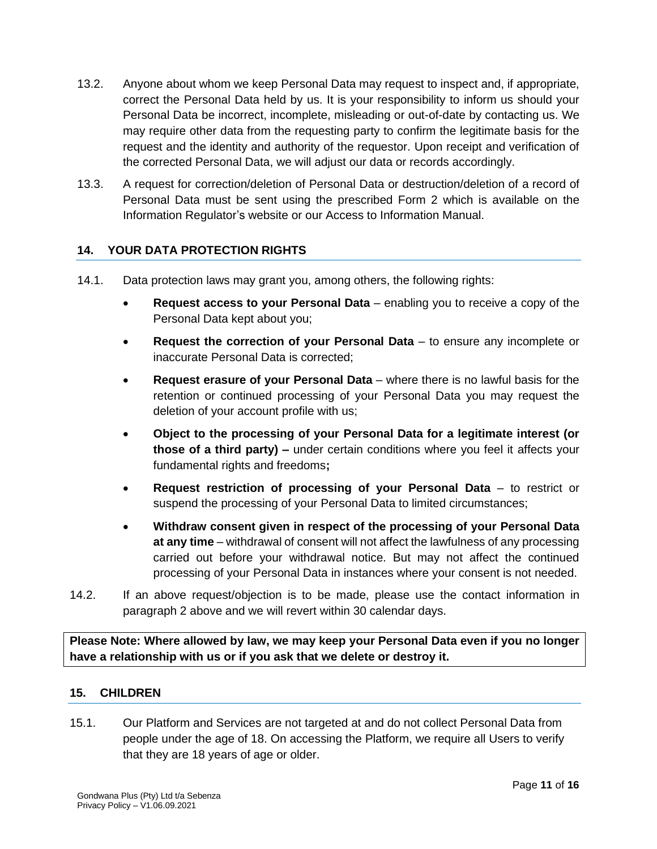- 13.2. Anyone about whom we keep Personal Data may request to inspect and, if appropriate, correct the Personal Data held by us. It is your responsibility to inform us should your Personal Data be incorrect, incomplete, misleading or out-of-date by contacting us. We may require other data from the requesting party to confirm the legitimate basis for the request and the identity and authority of the requestor. Upon receipt and verification of the corrected Personal Data, we will adjust our data or records accordingly.
- 13.3. A request for correction/deletion of Personal Data or destruction/deletion of a record of Personal Data must be sent using the prescribed Form 2 which is available on the Information Regulator's website or our Access to Information Manual.

# **14. YOUR DATA PROTECTION RIGHTS**

- 14.1. Data protection laws may grant you, among others, the following rights:
	- **Request access to your Personal Data** enabling you to receive a copy of the Personal Data kept about you;
	- **Request the correction of your Personal Data** to ensure any incomplete or inaccurate Personal Data is corrected;
	- **Request erasure of your Personal Data** where there is no lawful basis for the retention or continued processing of your Personal Data you may request the deletion of your account profile with us;
	- **Object to the processing of your Personal Data for a legitimate interest (or those of a third party) –** under certain conditions where you feel it affects your fundamental rights and freedoms**;**
	- **Request restriction of processing of your Personal Data** to restrict or suspend the processing of your Personal Data to limited circumstances;
	- **Withdraw consent given in respect of the processing of your Personal Data at any time** – withdrawal of consent will not affect the lawfulness of any processing carried out before your withdrawal notice. But may not affect the continued processing of your Personal Data in instances where your consent is not needed.
- 14.2. If an above request/objection is to be made, please use the contact information in paragraph 2 above and we will revert within 30 calendar days.

**Please Note: Where allowed by law, we may keep your Personal Data even if you no longer have a relationship with us or if you ask that we delete or destroy it.**

#### **15. CHILDREN**

15.1. Our Platform and Services are not targeted at and do not collect Personal Data from people under the age of 18. On accessing the Platform, we require all Users to verify that they are 18 years of age or older.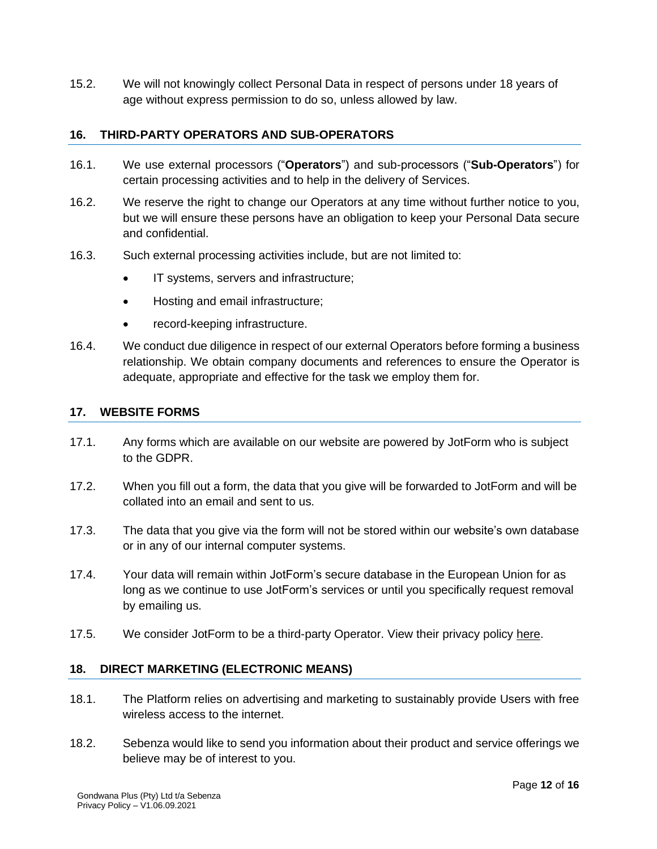15.2. We will not knowingly collect Personal Data in respect of persons under 18 years of age without express permission to do so, unless allowed by law.

#### **16. THIRD-PARTY OPERATORS AND SUB-OPERATORS**

- 16.1. We use external processors ("**Operators**") and sub-processors ("**Sub-Operators**") for certain processing activities and to help in the delivery of Services.
- 16.2. We reserve the right to change our Operators at any time without further notice to you, but we will ensure these persons have an obligation to keep your Personal Data secure and confidential.
- 16.3. Such external processing activities include, but are not limited to:
	- IT systems, servers and infrastructure;
	- Hosting and email infrastructure;
	- record-keeping infrastructure.
- 16.4. We conduct due diligence in respect of our external Operators before forming a business relationship. We obtain company documents and references to ensure the Operator is adequate, appropriate and effective for the task we employ them for.

#### **17. WEBSITE FORMS**

- 17.1. Any forms which are available on our website are powered by JotForm who is subject to the GDPR.
- 17.2. When you fill out a form, the data that you give will be forwarded to JotForm and will be collated into an email and sent to us.
- 17.3. The data that you give via the form will not be stored within our website's own database or in any of our internal computer systems.
- 17.4. Your data will remain within JotForm's secure database in the European Union for as long as we continue to use JotForm's services or until you specifically request removal by emailing us.
- 17.5. We consider JotForm to be a third-party Operator. View their privacy policy [here.](https://www.jotform.com/privacy/)

#### **18. DIRECT MARKETING (ELECTRONIC MEANS)**

- 18.1. The Platform relies on advertising and marketing to sustainably provide Users with free wireless access to the internet.
- 18.2. Sebenza would like to send you information about their product and service offerings we believe may be of interest to you.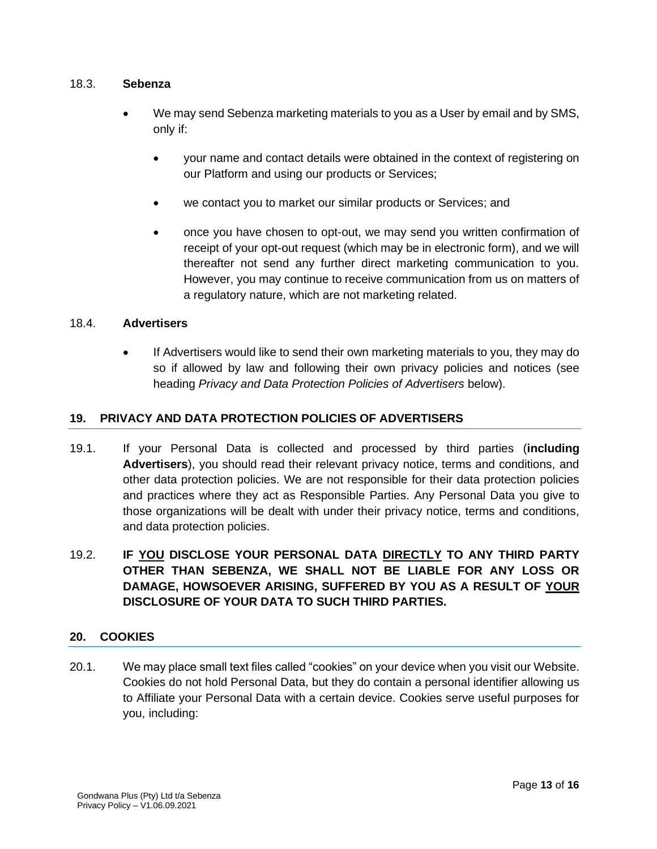#### 18.3. **Sebenza**

- We may send Sebenza marketing materials to you as a User by email and by SMS, only if:
	- your name and contact details were obtained in the context of registering on our Platform and using our products or Services;
	- we contact you to market our similar products or Services; and
	- once you have chosen to opt-out, we may send you written confirmation of receipt of your opt-out request (which may be in electronic form), and we will thereafter not send any further direct marketing communication to you. However, you may continue to receive communication from us on matters of a regulatory nature, which are not marketing related.

#### 18.4. **Advertisers**

• If Advertisers would like to send their own marketing materials to you, they may do so if allowed by law and following their own privacy policies and notices (see heading *Privacy and Data Protection Policies of Advertisers* below).

# **19. PRIVACY AND DATA PROTECTION POLICIES OF ADVERTISERS**

- 19.1. If your Personal Data is collected and processed by third parties (**including Advertisers**), you should read their relevant privacy notice, terms and conditions, and other data protection policies. We are not responsible for their data protection policies and practices where they act as Responsible Parties. Any Personal Data you give to those organizations will be dealt with under their privacy notice, terms and conditions, and data protection policies.
- 19.2. **IF YOU DISCLOSE YOUR PERSONAL DATA DIRECTLY TO ANY THIRD PARTY OTHER THAN SEBENZA, WE SHALL NOT BE LIABLE FOR ANY LOSS OR DAMAGE, HOWSOEVER ARISING, SUFFERED BY YOU AS A RESULT OF YOUR DISCLOSURE OF YOUR DATA TO SUCH THIRD PARTIES.**

#### **20. COOKIES**

20.1. We may place small text files called "cookies" on your device when you visit our Website. Cookies do not hold Personal Data, but they do contain a personal identifier allowing us to Affiliate your Personal Data with a certain device. Cookies serve useful purposes for you, including: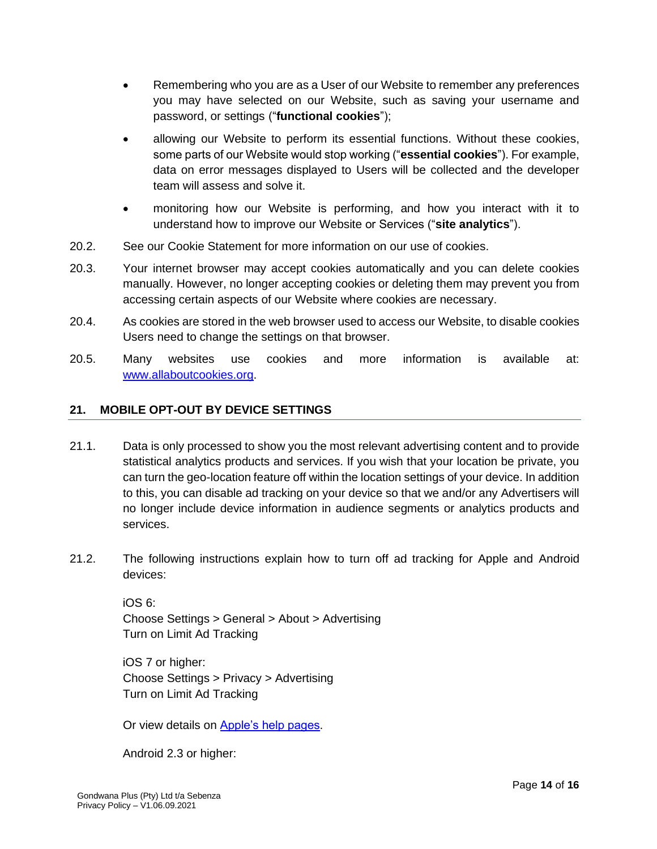- Remembering who you are as a User of our Website to remember any preferences you may have selected on our Website, such as saving your username and password, or settings ("**functional cookies**");
- allowing our Website to perform its essential functions. Without these cookies, some parts of our Website would stop working ("**essential cookies**"). For example, data on error messages displayed to Users will be collected and the developer team will assess and solve it.
- monitoring how our Website is performing, and how you interact with it to understand how to improve our Website or Services ("**site analytics**").
- 20.2. See our Cookie Statement for more information on our use of cookies.
- 20.3. Your internet browser may accept cookies automatically and you can delete cookies manually. However, no longer accepting cookies or deleting them may prevent you from accessing certain aspects of our Website where cookies are necessary.
- 20.4. As cookies are stored in the web browser used to access our Website, to disable cookies Users need to change the settings on that browser.
- 20.5. Many websites use cookies and more information is available at: [www.allaboutcookies.org.](http://www.allaboutcookies.org/)

# **21. MOBILE OPT-OUT BY DEVICE SETTINGS**

- 21.1. Data is only processed to show you the most relevant advertising content and to provide statistical analytics products and services. If you wish that your location be private, you can turn the geo-location feature off within the location settings of your device. In addition to this, you can disable ad tracking on your device so that we and/or any Advertisers will no longer include device information in audience segments or analytics products and services.
- 21.2. The following instructions explain how to turn off ad tracking for Apple and Android devices:

iOS 6: Choose Settings > General > About > Advertising Turn on Limit Ad Tracking

iOS 7 or higher: Choose Settings > Privacy > Advertising Turn on Limit Ad Tracking

Or view details on [Apple's help pages.](https://support.apple.com/en-us/HT202074)

Android 2.3 or higher: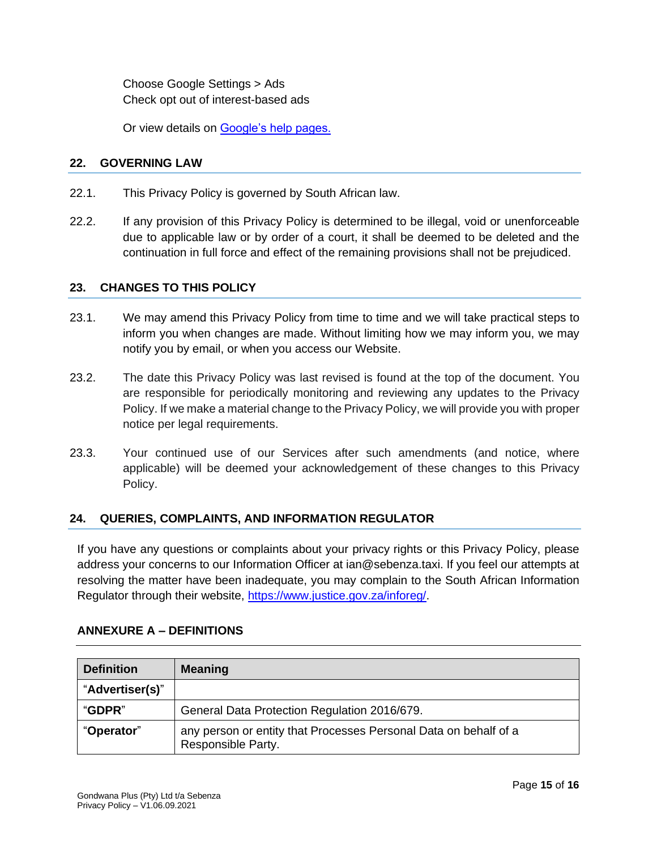Choose Google Settings > Ads Check opt out of interest-based ads

Or view details on [Google's help pages.](https://support.google.com/googleplay/answer/3405269)

#### **22. GOVERNING LAW**

- 22.1. This Privacy Policy is governed by South African law.
- 22.2. If any provision of this Privacy Policy is determined to be illegal, void or unenforceable due to applicable law or by order of a court, it shall be deemed to be deleted and the continuation in full force and effect of the remaining provisions shall not be prejudiced.

#### **23. CHANGES TO THIS POLICY**

- 23.1. We may amend this Privacy Policy from time to time and we will take practical steps to inform you when changes are made. Without limiting how we may inform you, we may notify you by email, or when you access our Website.
- 23.2. The date this Privacy Policy was last revised is found at the top of the document. You are responsible for periodically monitoring and reviewing any updates to the Privacy Policy. If we make a material change to the Privacy Policy, we will provide you with proper notice per legal requirements.
- 23.3. Your continued use of our Services after such amendments (and notice, where applicable) will be deemed your acknowledgement of these changes to this Privacy Policy.

#### **24. QUERIES, COMPLAINTS, AND INFORMATION REGULATOR**

If you have any questions or complaints about your privacy rights or this Privacy Policy, please address your concerns to our Information Officer at ian@sebenza.taxi. If you feel our attempts at resolving the matter have been inadequate, you may complain to the South African Information Regulator through their website, [https://www.justice.gov.za/inforeg/.](https://www.justice.gov.za/inforeg/)

| <b>Definition</b> | <b>Meaning</b>                                                                         |
|-------------------|----------------------------------------------------------------------------------------|
| "Advertiser(s)"   |                                                                                        |
| "GDPR"            | General Data Protection Regulation 2016/679.                                           |
| "Operator"        | any person or entity that Processes Personal Data on behalf of a<br>Responsible Party. |

#### **ANNEXURE A – DEFINITIONS**